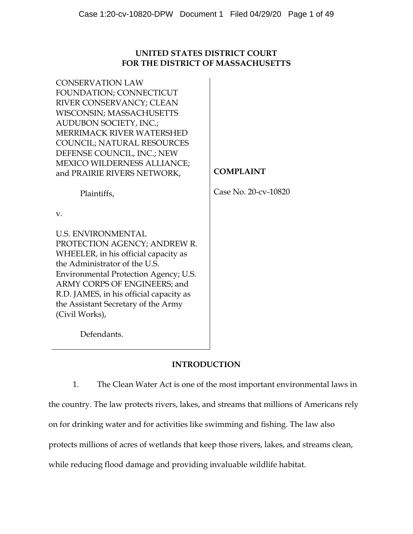# **UNITED STATES DISTRICT COURT FOR THE DISTRICT OF MASSACHUSETTS**

| <b>CONSERVATION LAW</b><br>FOUNDATION; CONNECTICUT<br>RIVER CONSERVANCY; CLEAN<br>WISCONSIN; MASSACHUSETTS<br><b>AUDUBON SOCIETY, INC.;</b><br>MERRIMACK RIVER WATERSHED<br><b>COUNCIL; NATURAL RESOURCES</b><br>DEFENSE COUNCIL, INC.; NEW<br><b>MEXICO WILDERNESS ALLIANCE;</b><br>and PRAIRIE RIVERS NETWORK,<br>Plaintiffs, | <b>COMPLAINT</b><br>Case No. 20-cv-10820 |
|---------------------------------------------------------------------------------------------------------------------------------------------------------------------------------------------------------------------------------------------------------------------------------------------------------------------------------|------------------------------------------|
| $V_{\cdot}$                                                                                                                                                                                                                                                                                                                     |                                          |
| <b>U.S. ENVIRONMENTAL</b><br>PROTECTION AGENCY; ANDREW R.<br>WHEELER, in his official capacity as<br>the Administrator of the U.S.<br>Environmental Protection Agency; U.S.<br>ARMY CORPS OF ENGINEERS; and<br>R.D. JAMES, in his official capacity as<br>the Assistant Secretary of the Army<br>(Civil Works),                 |                                          |
| Defendants.                                                                                                                                                                                                                                                                                                                     |                                          |

# **INTRODUCTION**

1. The Clean Water Act is one of the most important environmental laws in the country. The law protects rivers, lakes, and streams that millions of Americans rely on for drinking water and for activities like swimming and fishing. The law also protects millions of acres of wetlands that keep those rivers, lakes, and streams clean, while reducing flood damage and providing invaluable wildlife habitat.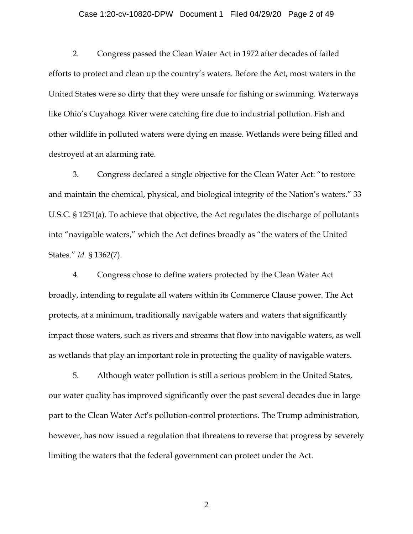## Case 1:20-cv-10820-DPW Document 1 Filed 04/29/20 Page 2 of 49

2. Congress passed the Clean Water Act in 1972 after decades of failed efforts to protect and clean up the country's waters. Before the Act, most waters in the United States were so dirty that they were unsafe for fishing or swimming. Waterways like Ohio's Cuyahoga River were catching fire due to industrial pollution. Fish and other wildlife in polluted waters were dying en masse. Wetlands were being filled and destroyed at an alarming rate.

3. Congress declared a single objective for the Clean Water Act: "to restore and maintain the chemical, physical, and biological integrity of the Nation's waters." 33 U.S.C. § 1251(a). To achieve that objective, the Act regulates the discharge of pollutants into "navigable waters," which the Act defines broadly as "the waters of the United States." *Id.* § 1362(7).

4. Congress chose to define waters protected by the Clean Water Act broadly, intending to regulate all waters within its Commerce Clause power. The Act protects, at a minimum, traditionally navigable waters and waters that significantly impact those waters, such as rivers and streams that flow into navigable waters, as well as wetlands that play an important role in protecting the quality of navigable waters.

5. Although water pollution is still a serious problem in the United States, our water quality has improved significantly over the past several decades due in large part to the Clean Water Act's pollution-control protections. The Trump administration, however, has now issued a regulation that threatens to reverse that progress by severely limiting the waters that the federal government can protect under the Act.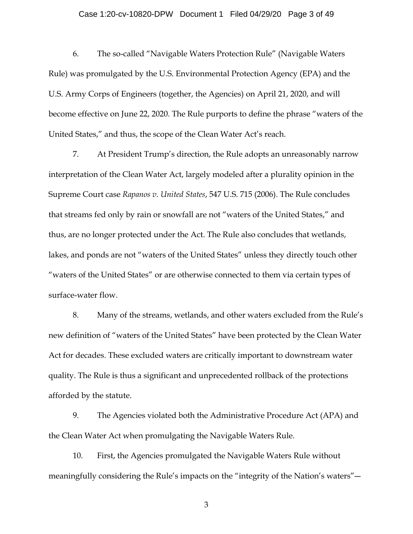## Case 1:20-cv-10820-DPW Document 1 Filed 04/29/20 Page 3 of 49

6. The so-called "Navigable Waters Protection Rule" (Navigable Waters Rule) was promulgated by the U.S. Environmental Protection Agency (EPA) and the U.S. Army Corps of Engineers (together, the Agencies) on April 21, 2020, and will become effective on June 22, 2020. The Rule purports to define the phrase "waters of the United States," and thus, the scope of the Clean Water Act's reach.

7. At President Trump's direction, the Rule adopts an unreasonably narrow interpretation of the Clean Water Act, largely modeled after a plurality opinion in the Supreme Court case *Rapanos v. United States*, 547 U.S. 715 (2006). The Rule concludes that streams fed only by rain or snowfall are not "waters of the United States," and thus, are no longer protected under the Act. The Rule also concludes that wetlands, lakes, and ponds are not "waters of the United States" unless they directly touch other "waters of the United States" or are otherwise connected to them via certain types of surface-water flow.

8. Many of the streams, wetlands, and other waters excluded from the Rule's new definition of "waters of the United States" have been protected by the Clean Water Act for decades. These excluded waters are critically important to downstream water quality. The Rule is thus a significant and unprecedented rollback of the protections afforded by the statute.

9. The Agencies violated both the Administrative Procedure Act (APA) and the Clean Water Act when promulgating the Navigable Waters Rule.

10. First, the Agencies promulgated the Navigable Waters Rule without meaningfully considering the Rule's impacts on the "integrity of the Nation's waters"―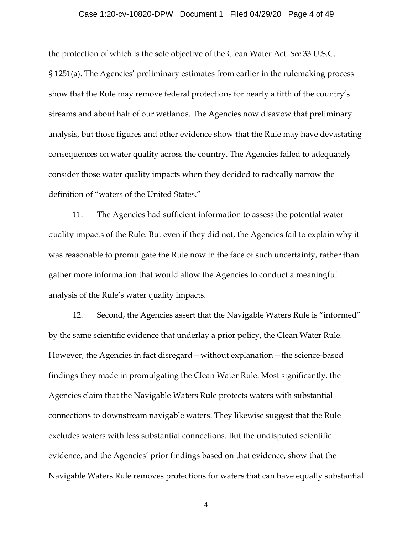## Case 1:20-cv-10820-DPW Document 1 Filed 04/29/20 Page 4 of 49

the protection of which is the sole objective of the Clean Water Act. *See* 33 U.S.C. § 1251(a). The Agencies' preliminary estimates from earlier in the rulemaking process show that the Rule may remove federal protections for nearly a fifth of the country's streams and about half of our wetlands. The Agencies now disavow that preliminary analysis, but those figures and other evidence show that the Rule may have devastating consequences on water quality across the country. The Agencies failed to adequately consider those water quality impacts when they decided to radically narrow the definition of "waters of the United States."

11. The Agencies had sufficient information to assess the potential water quality impacts of the Rule. But even if they did not, the Agencies fail to explain why it was reasonable to promulgate the Rule now in the face of such uncertainty, rather than gather more information that would allow the Agencies to conduct a meaningful analysis of the Rule's water quality impacts.

12. Second, the Agencies assert that the Navigable Waters Rule is "informed" by the same scientific evidence that underlay a prior policy, the Clean Water Rule. However, the Agencies in fact disregard—without explanation—the science-based findings they made in promulgating the Clean Water Rule. Most significantly, the Agencies claim that the Navigable Waters Rule protects waters with substantial connections to downstream navigable waters. They likewise suggest that the Rule excludes waters with less substantial connections. But the undisputed scientific evidence, and the Agencies' prior findings based on that evidence, show that the Navigable Waters Rule removes protections for waters that can have equally substantial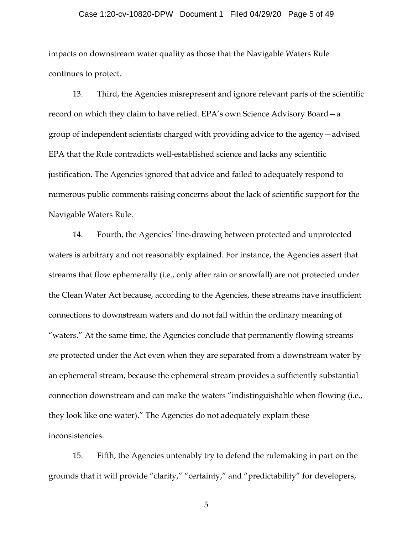## Case 1:20-cv-10820-DPW Document 1 Filed 04/29/20 Page 5 of 49

impacts on downstream water quality as those that the Navigable Waters Rule continues to protect.

13. Third, the Agencies misrepresent and ignore relevant parts of the scientific record on which they claim to have relied. EPA's own Science Advisory Board—a group of independent scientists charged with providing advice to the agency—advised EPA that the Rule contradicts well-established science and lacks any scientific justification. The Agencies ignored that advice and failed to adequately respond to numerous public comments raising concerns about the lack of scientific support for the Navigable Waters Rule.

14. Fourth, the Agencies' line-drawing between protected and unprotected waters is arbitrary and not reasonably explained. For instance, the Agencies assert that streams that flow ephemerally (i.e., only after rain or snowfall) are not protected under the Clean Water Act because, according to the Agencies, these streams have insufficient connections to downstream waters and do not fall within the ordinary meaning of "waters." At the same time, the Agencies conclude that permanently flowing streams *are* protected under the Act even when they are separated from a downstream water by an ephemeral stream, because the ephemeral stream provides a sufficiently substantial connection downstream and can make the waters "indistinguishable when flowing (i.e., they look like one water)." The Agencies do not adequately explain these inconsistencies.

15. Fifth, the Agencies untenably try to defend the rulemaking in part on the grounds that it will provide "clarity," "certainty," and "predictability" for developers,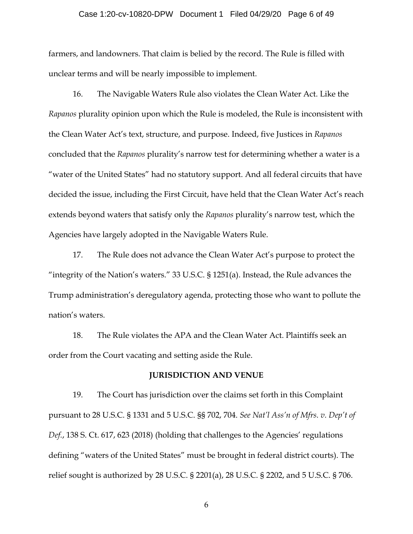## Case 1:20-cv-10820-DPW Document 1 Filed 04/29/20 Page 6 of 49

farmers, and landowners. That claim is belied by the record. The Rule is filled with unclear terms and will be nearly impossible to implement.

16. The Navigable Waters Rule also violates the Clean Water Act. Like the *Rapanos* plurality opinion upon which the Rule is modeled, the Rule is inconsistent with the Clean Water Act's text, structure, and purpose. Indeed, five Justices in *Rapanos* concluded that the *Rapanos* plurality's narrow test for determining whether a water is a "water of the United States" had no statutory support. And all federal circuits that have decided the issue, including the First Circuit, have held that the Clean Water Act's reach extends beyond waters that satisfy only the *Rapanos* plurality's narrow test, which the Agencies have largely adopted in the Navigable Waters Rule.

17. The Rule does not advance the Clean Water Act's purpose to protect the "integrity of the Nation's waters." 33 U.S.C.  $\S$  1251(a). Instead, the Rule advances the Trump administration's deregulatory agenda, protecting those who want to pollute the nation's waters.

18. The Rule violates the APA and the Clean Water Act. Plaintiffs seek an order from the Court vacating and setting aside the Rule.

## **JURISDICTION AND VENUE**

19. The Court has jurisdiction over the claims set forth in this Complaint pursuant to 28 U.S.C. § 1331 and 5 U.S.C. §§ 702, 704. *See Nat'l Ass'n of Mfrs. v. Dep't of Def.*, 138 S. Ct. 617, 623 (2018) (holding that challenges to the Agencies' regulations defining "waters of the United States" must be brought in federal district courts). The relief sought is authorized by 28 U.S.C. § 2201(a), 28 U.S.C. § 2202, and 5 U.S.C. § 706.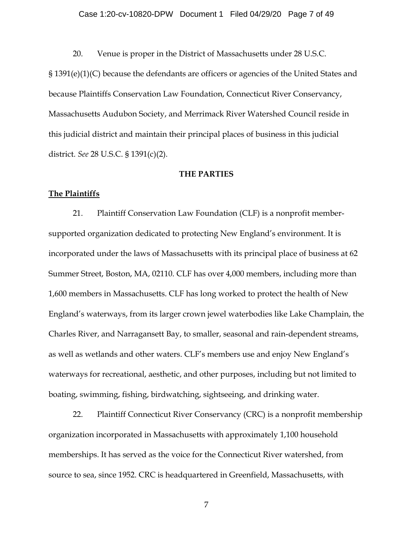## Case 1:20-cv-10820-DPW Document 1 Filed 04/29/20 Page 7 of 49

20. Venue is proper in the District of Massachusetts under 28 U.S.C.

§ 1391(e)(1)(C) because the defendants are officers or agencies of the United States and because Plaintiffs Conservation Law Foundation, Connecticut River Conservancy, Massachusetts Audubon Society, and Merrimack River Watershed Council reside in this judicial district and maintain their principal places of business in this judicial district. *See* 28 U.S.C. § 1391(c)(2).

## **THE PARTIES**

## **The Plaintiffs**

21. Plaintiff Conservation Law Foundation (CLF) is a nonprofit membersupported organization dedicated to protecting New England's environment. It is incorporated under the laws of Massachusetts with its principal place of business at 62 Summer Street, Boston, MA, 02110. CLF has over 4,000 members, including more than 1,600 members in Massachusetts. CLF has long worked to protect the health of New England's waterways, from its larger crown jewel waterbodies like Lake Champlain, the Charles River, and Narragansett Bay, to smaller, seasonal and rain-dependent streams, as well as wetlands and other waters. CLF's members use and enjoy New England's waterways for recreational, aesthetic, and other purposes, including but not limited to boating, swimming, fishing, birdwatching, sightseeing, and drinking water.

22. Plaintiff Connecticut River Conservancy (CRC) is a nonprofit membership organization incorporated in Massachusetts with approximately 1,100 household memberships. It has served as the voice for the Connecticut River watershed, from source to sea, since 1952. CRC is headquartered in Greenfield, Massachusetts, with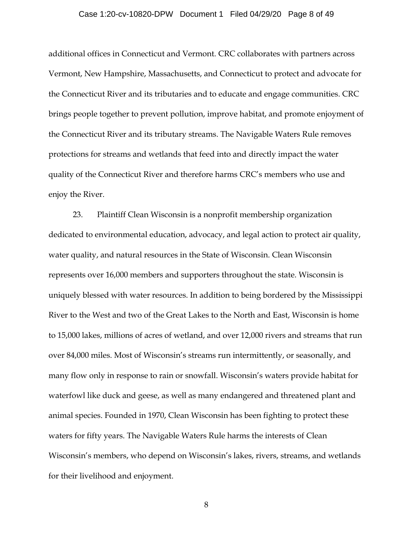## Case 1:20-cv-10820-DPW Document 1 Filed 04/29/20 Page 8 of 49

additional offices in Connecticut and Vermont. CRC collaborates with partners across Vermont, New Hampshire, Massachusetts, and Connecticut to protect and advocate for the Connecticut River and its tributaries and to educate and engage communities. CRC brings people together to prevent pollution, improve habitat, and promote enjoyment of the Connecticut River and its tributary streams. The Navigable Waters Rule removes protections for streams and wetlands that feed into and directly impact the water quality of the Connecticut River and therefore harms CRC's members who use and enjoy the River.

23. Plaintiff Clean Wisconsin is a nonprofit membership organization dedicated to environmental education, advocacy, and legal action to protect air quality, water quality, and natural resources in the State of Wisconsin. Clean Wisconsin represents over 16,000 members and supporters throughout the state. Wisconsin is uniquely blessed with water resources. In addition to being bordered by the Mississippi River to the West and two of the Great Lakes to the North and East, Wisconsin is home to 15,000 lakes, millions of acres of wetland, and over 12,000 rivers and streams that run over 84,000 miles. Most of Wisconsin's streams run intermittently, or seasonally, and many flow only in response to rain or snowfall. Wisconsin's waters provide habitat for waterfowl like duck and geese, as well as many endangered and threatened plant and animal species. Founded in 1970, Clean Wisconsin has been fighting to protect these waters for fifty years. The Navigable Waters Rule harms the interests of Clean Wisconsin's members, who depend on Wisconsin's lakes, rivers, streams, and wetlands for their livelihood and enjoyment.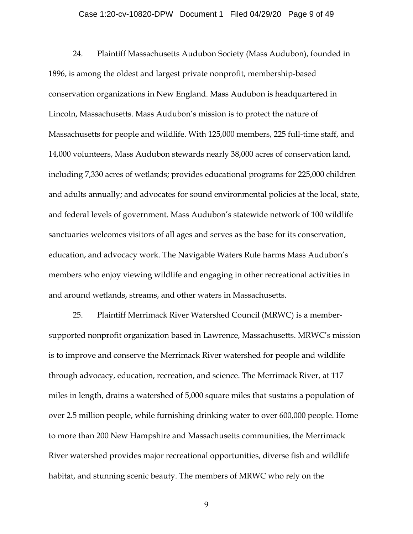## Case 1:20-cv-10820-DPW Document 1 Filed 04/29/20 Page 9 of 49

24. Plaintiff Massachusetts Audubon Society (Mass Audubon), founded in 1896, is among the oldest and largest private nonprofit, membership-based conservation organizations in New England. Mass Audubon is headquartered in Lincoln, Massachusetts. Mass Audubon's mission is to protect the nature of Massachusetts for people and wildlife. With 125,000 members, 225 full-time staff, and 14,000 volunteers, Mass Audubon stewards nearly 38,000 acres of conservation land, including 7,330 acres of wetlands; provides educational programs for 225,000 children and adults annually; and advocates for sound environmental policies at the local, state, and federal levels of government. Mass Audubon's statewide network of 100 wildlife sanctuaries welcomes visitors of all ages and serves as the base for its conservation, education, and advocacy work. The Navigable Waters Rule harms Mass Audubon's members who enjoy viewing wildlife and engaging in other recreational activities in and around wetlands, streams, and other waters in Massachusetts.

25. Plaintiff Merrimack River Watershed Council (MRWC) is a membersupported nonprofit organization based in Lawrence, Massachusetts. MRWC's mission is to improve and conserve the Merrimack River watershed for people and wildlife through advocacy, education, recreation, and science. The Merrimack River, at 117 miles in length, drains a watershed of 5,000 square miles that sustains a population of over 2.5 million people, while furnishing drinking water to over 600,000 people. Home to more than 200 New Hampshire and Massachusetts communities, the Merrimack River watershed provides major recreational opportunities, diverse fish and wildlife habitat, and stunning scenic beauty. The members of MRWC who rely on the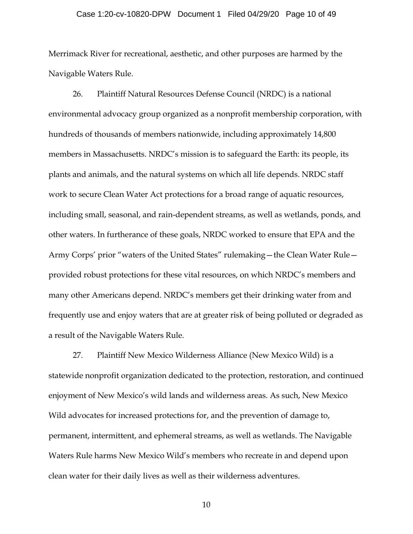## Case 1:20-cv-10820-DPW Document 1 Filed 04/29/20 Page 10 of 49

Merrimack River for recreational, aesthetic, and other purposes are harmed by the Navigable Waters Rule.

26. Plaintiff Natural Resources Defense Council (NRDC) is a national environmental advocacy group organized as a nonprofit membership corporation, with hundreds of thousands of members nationwide, including approximately 14,800 members in Massachusetts. NRDC's mission is to safeguard the Earth: its people, its plants and animals, and the natural systems on which all life depends. NRDC staff work to secure Clean Water Act protections for a broad range of aquatic resources, including small, seasonal, and rain-dependent streams, as well as wetlands, ponds, and other waters. In furtherance of these goals, NRDC worked to ensure that EPA and the Army Corps' prior "waters of the United States" rulemaking—the Clean Water Rule provided robust protections for these vital resources, on which NRDC's members and many other Americans depend. NRDC's members get their drinking water from and frequently use and enjoy waters that are at greater risk of being polluted or degraded as a result of the Navigable Waters Rule.

27. Plaintiff New Mexico Wilderness Alliance (New Mexico Wild) is a statewide nonprofit organization dedicated to the protection, restoration, and continued enjoyment of New Mexico's wild lands and wilderness areas. As such, New Mexico Wild advocates for increased protections for, and the prevention of damage to, permanent, intermittent, and ephemeral streams, as well as wetlands. The Navigable Waters Rule harms New Mexico Wild's members who recreate in and depend upon clean water for their daily lives as well as their wilderness adventures.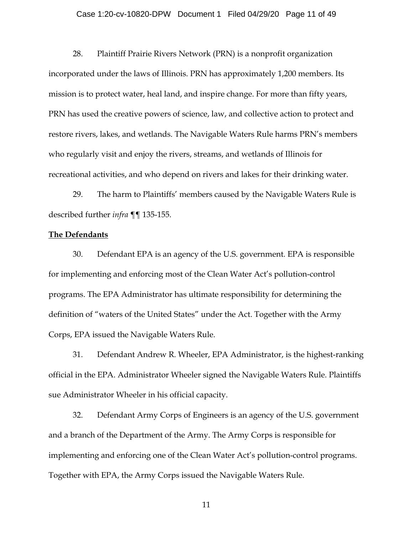## Case 1:20-cv-10820-DPW Document 1 Filed 04/29/20 Page 11 of 49

28. Plaintiff Prairie Rivers Network (PRN) is a nonprofit organization incorporated under the laws of Illinois. PRN has approximately 1,200 members. Its mission is to protect water, heal land, and inspire change. For more than fifty years, PRN has used the creative powers of science, law, and collective action to protect and restore rivers, lakes, and wetlands. The Navigable Waters Rule harms PRN's members who regularly visit and enjoy the rivers, streams, and wetlands of Illinois for recreational activities, and who depend on rivers and lakes for their drinking water.

29. The harm to Plaintiffs' members caused by the Navigable Waters Rule is described further *infra* ¶¶ 135-155.

#### **The Defendants**

30. Defendant EPA is an agency of the U.S. government. EPA is responsible for implementing and enforcing most of the Clean Water Act's pollution-control programs. The EPA Administrator has ultimate responsibility for determining the definition of "waters of the United States" under the Act. Together with the Army Corps, EPA issued the Navigable Waters Rule.

31. Defendant Andrew R. Wheeler, EPA Administrator, is the highest-ranking official in the EPA. Administrator Wheeler signed the Navigable Waters Rule. Plaintiffs sue Administrator Wheeler in his official capacity.

32. Defendant Army Corps of Engineers is an agency of the U.S. government and a branch of the Department of the Army. The Army Corps is responsible for implementing and enforcing one of the Clean Water Act's pollution-control programs. Together with EPA, the Army Corps issued the Navigable Waters Rule.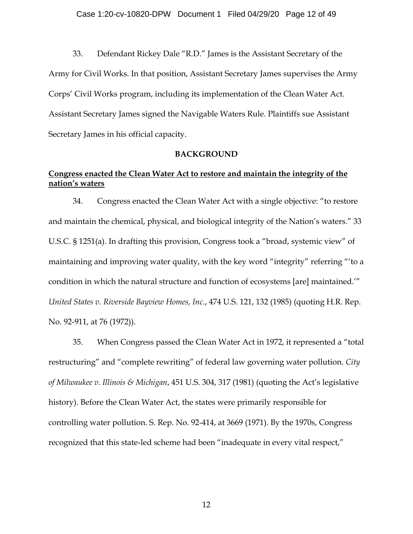33. Defendant Rickey Dale "R.D." James is the Assistant Secretary of the Army for Civil Works. In that position, Assistant Secretary James supervises the Army Corps' Civil Works program, including its implementation of the Clean Water Act. Assistant Secretary James signed the Navigable Waters Rule. Plaintiffs sue Assistant Secretary James in his official capacity.

## **BACKGROUND**

## **Congress enacted the Clean Water Act to restore and maintain the integrity of the nation's waters**

34. Congress enacted the Clean Water Act with a single objective: "to restore and maintain the chemical, physical, and biological integrity of the Nation's waters." 33 U.S.C. § 1251(a). In drafting this provision, Congress took a "broad, systemic view" of maintaining and improving water quality, with the key word "integrity" referring "'to a condition in which the natural structure and function of ecosystems [are] maintained.'" *United States v. Riverside Bayview Homes, Inc.*, 474 U.S. 121, 132 (1985) (quoting H.R. Rep. No. 92-911, at 76 (1972)).

35. When Congress passed the Clean Water Act in 1972, it represented a "total restructuring" and "complete rewriting" of federal law governing water pollution. *City of Milwaukee v. Illinois & Michigan*, 451 U.S. 304, 317 (1981) (quoting the Act's legislative history). Before the Clean Water Act, the states were primarily responsible for controlling water pollution. S. Rep. No. 92-414, at 3669 (1971). By the 1970s, Congress recognized that this state-led scheme had been "inadequate in every vital respect,"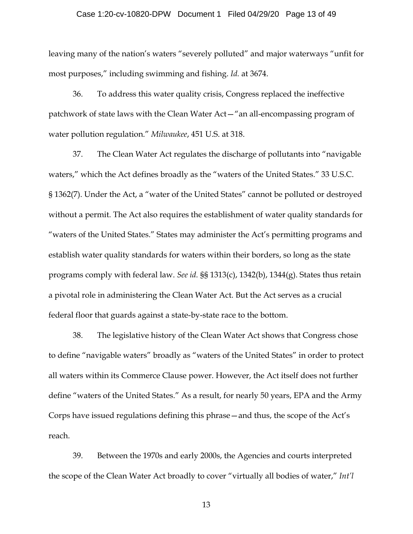## Case 1:20-cv-10820-DPW Document 1 Filed 04/29/20 Page 13 of 49

leaving many of the nation's waters "severely polluted" and major waterways "unfit for most purposes," including swimming and fishing. *Id.* at 3674.

36. To address this water quality crisis, Congress replaced the ineffective patchwork of state laws with the Clean Water Act—"an all-encompassing program of water pollution regulation." *Milwaukee*, 451 U.S. at 318.

37. The Clean Water Act regulates the discharge of pollutants into "navigable waters," which the Act defines broadly as the "waters of the United States." 33 U.S.C. § 1362(7). Under the Act, a "water of the United States" cannot be polluted or destroyed without a permit. The Act also requires the establishment of water quality standards for "waters of the United States." States may administer the Act's permitting programs and establish water quality standards for waters within their borders, so long as the state programs comply with federal law. *See id.* §§ 1313(c), 1342(b), 1344(g). States thus retain a pivotal role in administering the Clean Water Act. But the Act serves as a crucial federal floor that guards against a state-by-state race to the bottom.

38. The legislative history of the Clean Water Act shows that Congress chose to define "navigable waters" broadly as "waters of the United States" in order to protect all waters within its Commerce Clause power. However, the Act itself does not further define "waters of the United States." As a result, for nearly 50 years, EPA and the Army Corps have issued regulations defining this phrase—and thus, the scope of the Act's reach.

39. Between the 1970s and early 2000s, the Agencies and courts interpreted the scope of the Clean Water Act broadly to cover "virtually all bodies of water," *Int'l*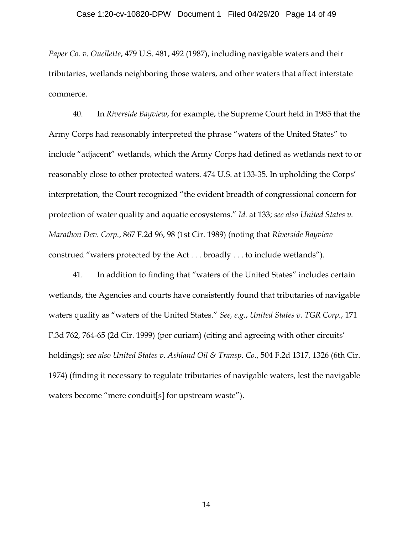*Paper Co. v. Ouellette*, 479 U.S. 481, 492 (1987), including navigable waters and their tributaries, wetlands neighboring those waters, and other waters that affect interstate commerce.

40. In *Riverside Bayview*, for example, the Supreme Court held in 1985 that the Army Corps had reasonably interpreted the phrase "waters of the United States" to include "adjacent" wetlands, which the Army Corps had defined as wetlands next to or reasonably close to other protected waters. 474 U.S. at 133-35. In upholding the Corps' interpretation, the Court recognized "the evident breadth of congressional concern for protection of water quality and aquatic ecosystems." *Id.* at 133; *see also United States v. Marathon Dev. Corp.*, 867 F.2d 96, 98 (1st Cir. 1989) (noting that *Riverside Bayview* construed "waters protected by the Act . . . broadly . . . to include wetlands").

41. In addition to finding that "waters of the United States" includes certain wetlands, the Agencies and courts have consistently found that tributaries of navigable waters qualify as "waters of the United States." *See, e.g.*, *United States v. TGR Corp.*, 171 F.3d 762, 764-65 (2d Cir. 1999) (per curiam) (citing and agreeing with other circuits' holdings); *see also United States v. Ashland Oil & Transp. Co.*, 504 F.2d 1317, 1326 (6th Cir. 1974) (finding it necessary to regulate tributaries of navigable waters, lest the navigable waters become "mere conduit[s] for upstream waste").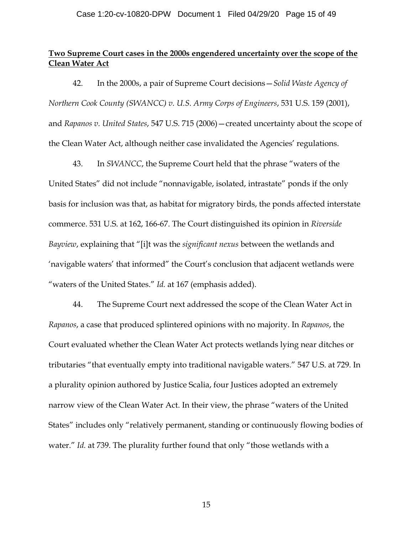## **Two Supreme Court cases in the 2000s engendered uncertainty over the scope of the Clean Water Act**

42. In the 2000s, a pair of Supreme Court decisions—*Solid Waste Agency of Northern Cook County (SWANCC) v. U.S. Army Corps of Engineers*, 531 U.S. 159 (2001), and *Rapanos v. United States*, 547 U.S. 715 (2006)—created uncertainty about the scope of the Clean Water Act, although neither case invalidated the Agencies' regulations.

43. In *SWANCC*, the Supreme Court held that the phrase "waters of the United States" did not include "nonnavigable, isolated, intrastate" ponds if the only basis for inclusion was that, as habitat for migratory birds, the ponds affected interstate commerce. 531 U.S. at 162, 166-67. The Court distinguished its opinion in *Riverside Bayview*, explaining that "[i]t was the *significant nexus* between the wetlands and 'navigable waters' that informed" the Court's conclusion that adjacent wetlands were "waters of the United States." *Id.* at 167 (emphasis added).

44. The Supreme Court next addressed the scope of the Clean Water Act in *Rapanos*, a case that produced splintered opinions with no majority. In *Rapanos*, the Court evaluated whether the Clean Water Act protects wetlands lying near ditches or tributaries "that eventually empty into traditional navigable waters." 547 U.S. at 729. In a plurality opinion authored by Justice Scalia, four Justices adopted an extremely narrow view of the Clean Water Act. In their view, the phrase "waters of the United States" includes only "relatively permanent, standing or continuously flowing bodies of water." *Id.* at 739. The plurality further found that only "those wetlands with a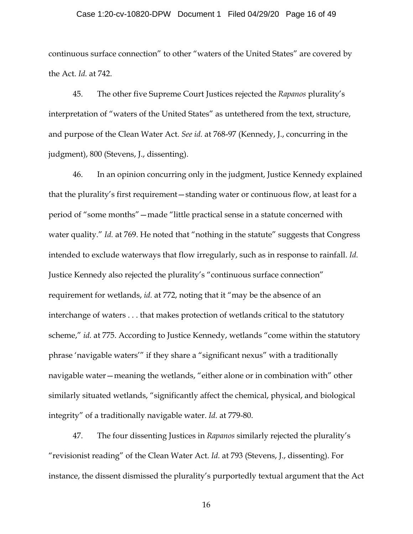## Case 1:20-cv-10820-DPW Document 1 Filed 04/29/20 Page 16 of 49

continuous surface connection" to other "waters of the United States" are covered by the Act. *Id.* at 742.

45. The other five Supreme Court Justices rejected the *Rapanos* plurality's interpretation of "waters of the United States" as untethered from the text, structure, and purpose of the Clean Water Act. *See id.* at 768-97 (Kennedy, J., concurring in the judgment), 800 (Stevens, J., dissenting).

46. In an opinion concurring only in the judgment, Justice Kennedy explained that the plurality's first requirement—standing water or continuous flow, at least for a period of "some months"—made "little practical sense in a statute concerned with water quality." *Id.* at 769. He noted that "nothing in the statute" suggests that Congress intended to exclude waterways that flow irregularly, such as in response to rainfall. *Id.* Justice Kennedy also rejected the plurality's "continuous surface connection" requirement for wetlands, *id.* at 772, noting that it "may be the absence of an interchange of waters . . . that makes protection of wetlands critical to the statutory scheme," *id.* at 775. According to Justice Kennedy, wetlands "come within the statutory phrase 'navigable waters'" if they share a "significant nexus" with a traditionally navigable water—meaning the wetlands, "either alone or in combination with" other similarly situated wetlands, "significantly affect the chemical, physical, and biological integrity" of a traditionally navigable water. *Id.* at 779-80.

47. The four dissenting Justices in *Rapanos* similarly rejected the plurality's "revisionist reading" of the Clean Water Act. *Id.* at 793 (Stevens, J., dissenting). For instance, the dissent dismissed the plurality's purportedly textual argument that the Act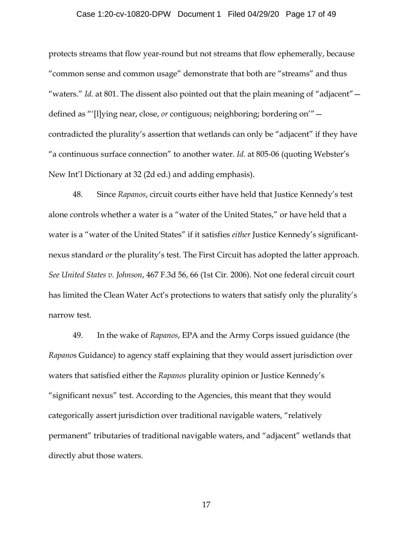## Case 1:20-cv-10820-DPW Document 1 Filed 04/29/20 Page 17 of 49

protects streams that flow year-round but not streams that flow ephemerally, because "common sense and common usage" demonstrate that both are "streams" and thus "waters." *Id.* at 801. The dissent also pointed out that the plain meaning of "adjacent" defined as "'[l]ying near, close, *or* contiguous; neighboring; bordering on'" contradicted the plurality's assertion that wetlands can only be "adjacent" if they have "a continuous surface connection" to another water. *Id.* at 805-06 (quoting Webster's New Int'l Dictionary at 32 (2d ed.) and adding emphasis).

48. Since *Rapanos*, circuit courts either have held that Justice Kennedy's test alone controls whether a water is a "water of the United States," or have held that a water is a "water of the United States" if it satisfies *either* Justice Kennedy's significantnexus standard *or* the plurality's test. The First Circuit has adopted the latter approach. *See United States v. Johnson*, 467 F.3d 56, 66 (1st Cir. 2006). Not one federal circuit court has limited the Clean Water Act's protections to waters that satisfy only the plurality's narrow test.

49. In the wake of *Rapanos*, EPA and the Army Corps issued guidance (the *Rapano*s Guidance) to agency staff explaining that they would assert jurisdiction over waters that satisfied either the *Rapanos* plurality opinion or Justice Kennedy's "significant nexus" test. According to the Agencies, this meant that they would categorically assert jurisdiction over traditional navigable waters, "relatively permanent" tributaries of traditional navigable waters, and "adjacent" wetlands that directly abut those waters.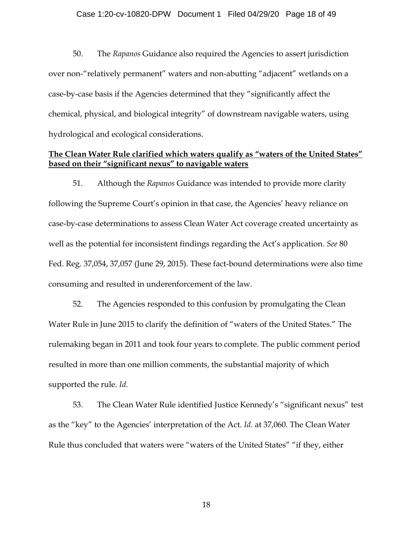## Case 1:20-cv-10820-DPW Document 1 Filed 04/29/20 Page 18 of 49

50. The *Rapanos* Guidance also required the Agencies to assert jurisdiction over non-"relatively permanent" waters and non-abutting "adjacent" wetlands on a case-by-case basis if the Agencies determined that they "significantly affect the chemical, physical, and biological integrity" of downstream navigable waters, using hydrological and ecological considerations.

## **The Clean Water Rule clarified which waters qualify as "waters of the United States" based on their "significant nexus" to navigable waters**

51. Although the *Rapanos* Guidance was intended to provide more clarity following the Supreme Court's opinion in that case, the Agencies' heavy reliance on case-by-case determinations to assess Clean Water Act coverage created uncertainty as well as the potential for inconsistent findings regarding the Act's application. *See* 80 Fed. Reg. 37,054, 37,057 (June 29, 2015). These fact-bound determinations were also time consuming and resulted in underenforcement of the law.

52. The Agencies responded to this confusion by promulgating the Clean Water Rule in June 2015 to clarify the definition of "waters of the United States." The rulemaking began in 2011 and took four years to complete. The public comment period resulted in more than one million comments, the substantial majority of which supported the rule. *Id.*

53. The Clean Water Rule identified Justice Kennedy's "significant nexus" test as the "key" to the Agencies' interpretation of the Act. *Id.* at 37,060. The Clean Water Rule thus concluded that waters were "waters of the United States" "if they, either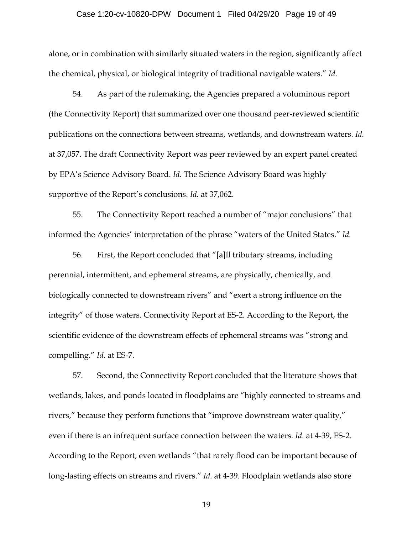## Case 1:20-cv-10820-DPW Document 1 Filed 04/29/20 Page 19 of 49

alone, or in combination with similarly situated waters in the region, significantly affect the chemical, physical, or biological integrity of traditional navigable waters." *Id.*

54. As part of the rulemaking, the Agencies prepared a voluminous report (the Connectivity Report) that summarized over one thousand peer-reviewed scientific publications on the connections between streams, wetlands, and downstream waters. *Id.* at 37,057. The draft Connectivity Report was peer reviewed by an expert panel created by EPA's Science Advisory Board. *Id.* The Science Advisory Board was highly supportive of the Report's conclusions. *Id.* at 37,062.

55. The Connectivity Report reached a number of "major conclusions" that informed the Agencies' interpretation of the phrase "waters of the United States." *Id.*

56. First, the Report concluded that "[a]ll tributary streams, including perennial, intermittent, and ephemeral streams, are physically, chemically, and biologically connected to downstream rivers" and "exert a strong influence on the integrity" of those waters. Connectivity Report at ES-2. According to the Report, the scientific evidence of the downstream effects of ephemeral streams was "strong and compelling." *Id.* at ES-7.

57. Second, the Connectivity Report concluded that the literature shows that wetlands, lakes, and ponds located in floodplains are "highly connected to streams and rivers," because they perform functions that "improve downstream water quality," even if there is an infrequent surface connection between the waters. *Id.* at 4-39, ES-2. According to the Report, even wetlands "that rarely flood can be important because of long-lasting effects on streams and rivers." *Id.* at 4-39. Floodplain wetlands also store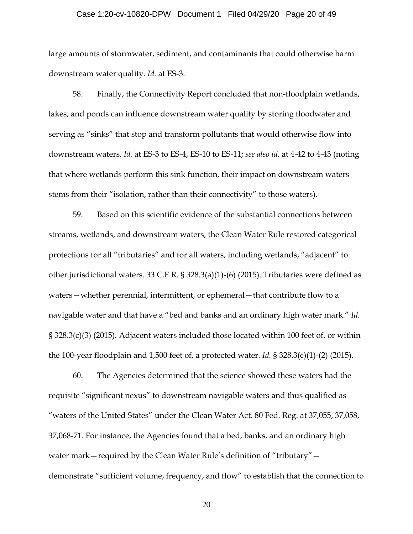## Case 1:20-cv-10820-DPW Document 1 Filed 04/29/20 Page 20 of 49

large amounts of stormwater, sediment, and contaminants that could otherwise harm downstream water quality. *Id.* at ES-3.

58. Finally, the Connectivity Report concluded that non-floodplain wetlands, lakes, and ponds can influence downstream water quality by storing floodwater and serving as "sinks" that stop and transform pollutants that would otherwise flow into downstream waters. *Id.* at ES-3 to ES-4, ES-10 to ES-11; *see also id.* at 4-42 to 4-43 (noting that where wetlands perform this sink function, their impact on downstream waters stems from their "isolation, rather than their connectivity" to those waters).

59. Based on this scientific evidence of the substantial connections between streams, wetlands, and downstream waters, the Clean Water Rule restored categorical protections for all "tributaries" and for all waters, including wetlands, "adjacent" to other jurisdictional waters. 33 C.F.R. § 328.3(a)(1)-(6) (2015). Tributaries were defined as waters—whether perennial, intermittent, or ephemeral—that contribute flow to a navigable water and that have a "bed and banks and an ordinary high water mark." *Id.* § 328.3(c)(3) (2015). Adjacent waters included those located within 100 feet of, or within the 100-year floodplain and 1,500 feet of, a protected water. *Id.* § 328.3(c)(1)-(2) (2015).

60. The Agencies determined that the science showed these waters had the requisite "significant nexus" to downstream navigable waters and thus qualified as "waters of the United States" under the Clean Water Act. 80 Fed. Reg. at 37,055, 37,058, 37,068-71. For instance, the Agencies found that a bed, banks, and an ordinary high water mark—required by the Clean Water Rule's definition of "tributary" demonstrate "sufficient volume, frequency, and flow" to establish that the connection to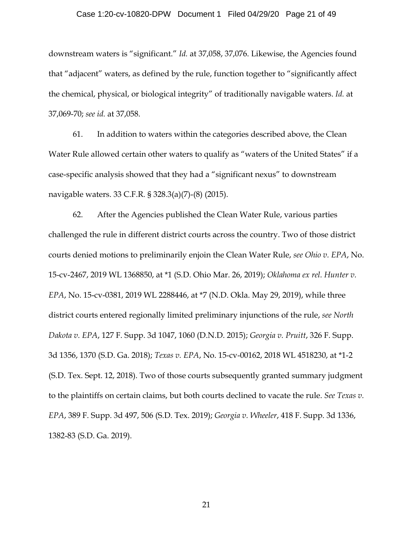## Case 1:20-cv-10820-DPW Document 1 Filed 04/29/20 Page 21 of 49

downstream waters is "significant." *Id.* at 37,058, 37,076. Likewise, the Agencies found that "adjacent" waters, as defined by the rule, function together to "significantly affect the chemical, physical, or biological integrity" of traditionally navigable waters. *Id.* at 37,069-70; *see id.* at 37,058.

61. In addition to waters within the categories described above, the Clean Water Rule allowed certain other waters to qualify as "waters of the United States" if a case-specific analysis showed that they had a "significant nexus" to downstream navigable waters. 33 C.F.R. § 328.3(a)(7)-(8) (2015).

62. After the Agencies published the Clean Water Rule, various parties challenged the rule in different district courts across the country. Two of those district courts denied motions to preliminarily enjoin the Clean Water Rule, *see Ohio v. EPA*, No. 15-cv-2467, 2019 WL 1368850, at \*1 (S.D. Ohio Mar. 26, 2019); *Oklahoma ex rel. Hunter v. EPA*, No. 15-cv-0381, 2019 WL 2288446, at \*7 (N.D. Okla. May 29, 2019), while three district courts entered regionally limited preliminary injunctions of the rule, *see North Dakota v. EPA*, 127 F. Supp. 3d 1047, 1060 (D.N.D. 2015); *Georgia v. Pruitt*, 326 F. Supp. 3d 1356, 1370 (S.D. Ga. 2018); *Texas v. EPA*, No. 15-cv-00162, 2018 WL 4518230, at \*1-2 (S.D. Tex. Sept. 12, 2018). Two of those courts subsequently granted summary judgment to the plaintiffs on certain claims, but both courts declined to vacate the rule. *See Texas v. EPA*, 389 F. Supp. 3d 497, 506 (S.D. Tex. 2019); *Georgia v. Wheeler*, 418 F. Supp. 3d 1336, 1382-83 (S.D. Ga. 2019).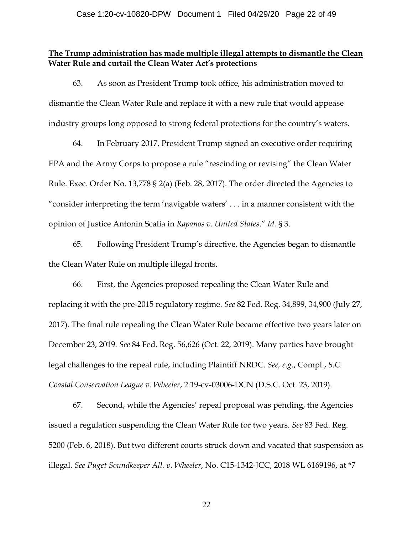## **The Trump administration has made multiple illegal attempts to dismantle the Clean Water Rule and curtail the Clean Water Act's protections**

63. As soon as President Trump took office, his administration moved to dismantle the Clean Water Rule and replace it with a new rule that would appease industry groups long opposed to strong federal protections for the country's waters.

64. In February 2017, President Trump signed an executive order requiring EPA and the Army Corps to propose a rule "rescinding or revising" the Clean Water Rule. Exec. Order No. 13,778 § 2(a) (Feb. 28, 2017). The order directed the Agencies to "consider interpreting the term 'navigable waters' . . . in a manner consistent with the opinion of Justice Antonin Scalia in *Rapanos v. United States*." *Id.* § 3.

65. Following President Trump's directive, the Agencies began to dismantle the Clean Water Rule on multiple illegal fronts.

66. First, the Agencies proposed repealing the Clean Water Rule and replacing it with the pre-2015 regulatory regime. *See* 82 Fed. Reg. 34,899, 34,900 (July 27, 2017). The final rule repealing the Clean Water Rule became effective two years later on December 23, 2019. *See* 84 Fed. Reg. 56,626 (Oct. 22, 2019). Many parties have brought legal challenges to the repeal rule, including Plaintiff NRDC. *See, e.g.*, Compl., *S.C. Coastal Conservation League v. Wheeler*, 2:19-cv-03006-DCN (D.S.C. Oct. 23, 2019).

67. Second, while the Agencies' repeal proposal was pending, the Agencies issued a regulation suspending the Clean Water Rule for two years. *See* 83 Fed. Reg. 5200 (Feb. 6, 2018). But two different courts struck down and vacated that suspension as illegal. *See Puget Soundkeeper All. v. Wheeler*, No. C15-1342-JCC, 2018 WL 6169196, at \*7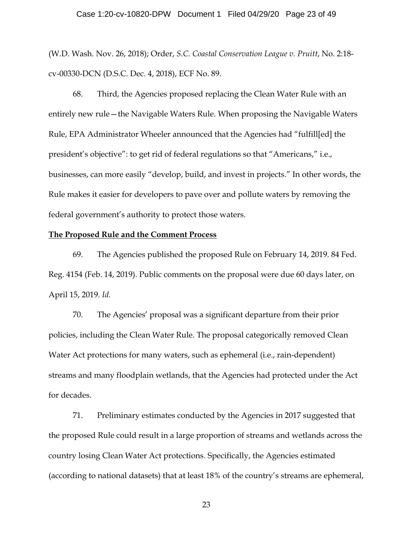## Case 1:20-cv-10820-DPW Document 1 Filed 04/29/20 Page 23 of 49

(W.D. Wash. Nov. 26, 2018); Order, *S.C. Coastal Conservation League v. Pruitt*, No. 2:18 cv-00330-DCN (D.S.C. Dec. 4, 2018), ECF No. 89.

68. Third, the Agencies proposed replacing the Clean Water Rule with an entirely new rule—the Navigable Waters Rule. When proposing the Navigable Waters Rule, EPA Administrator Wheeler announced that the Agencies had "fulfill[ed] the president's objective": to get rid of federal regulations so that "Americans," i.e., businesses, can more easily "develop, build, and invest in projects." In other words, the Rule makes it easier for developers to pave over and pollute waters by removing the federal government's authority to protect those waters.

#### **The Proposed Rule and the Comment Process**

69. The Agencies published the proposed Rule on February 14, 2019. 84 Fed. Reg. 4154 (Feb. 14, 2019). Public comments on the proposal were due 60 days later, on April 15, 2019. *Id.*

70. The Agencies' proposal was a significant departure from their prior policies, including the Clean Water Rule. The proposal categorically removed Clean Water Act protections for many waters, such as ephemeral (i.e., rain-dependent) streams and many floodplain wetlands, that the Agencies had protected under the Act for decades.

71. Preliminary estimates conducted by the Agencies in 2017 suggested that the proposed Rule could result in a large proportion of streams and wetlands across the country losing Clean Water Act protections. Specifically, the Agencies estimated (according to national datasets) that at least 18% of the country's streams are ephemeral,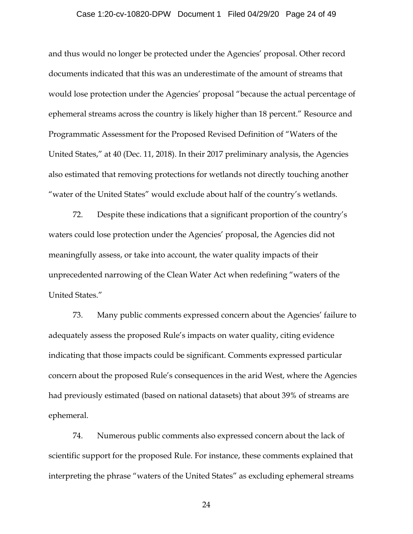## Case 1:20-cv-10820-DPW Document 1 Filed 04/29/20 Page 24 of 49

and thus would no longer be protected under the Agencies' proposal. Other record documents indicated that this was an underestimate of the amount of streams that would lose protection under the Agencies' proposal "because the actual percentage of ephemeral streams across the country is likely higher than 18 percent." Resource and Programmatic Assessment for the Proposed Revised Definition of "Waters of the United States," at 40 (Dec. 11, 2018). In their 2017 preliminary analysis, the Agencies also estimated that removing protections for wetlands not directly touching another "water of the United States" would exclude about half of the country's wetlands.

72. Despite these indications that a significant proportion of the country's waters could lose protection under the Agencies' proposal, the Agencies did not meaningfully assess, or take into account, the water quality impacts of their unprecedented narrowing of the Clean Water Act when redefining "waters of the United States."

73. Many public comments expressed concern about the Agencies' failure to adequately assess the proposed Rule's impacts on water quality, citing evidence indicating that those impacts could be significant. Comments expressed particular concern about the proposed Rule's consequences in the arid West, where the Agencies had previously estimated (based on national datasets) that about 39% of streams are ephemeral.

74. Numerous public comments also expressed concern about the lack of scientific support for the proposed Rule. For instance, these comments explained that interpreting the phrase "waters of the United States" as excluding ephemeral streams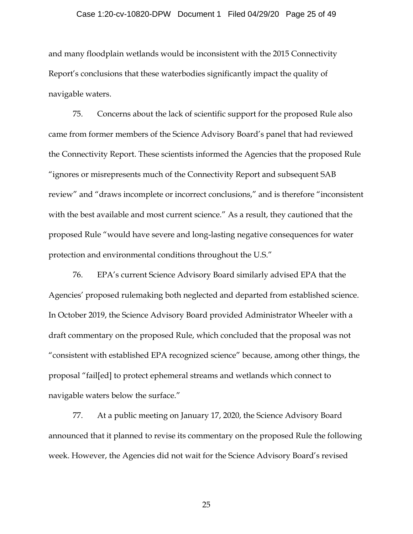## Case 1:20-cv-10820-DPW Document 1 Filed 04/29/20 Page 25 of 49

and many floodplain wetlands would be inconsistent with the 2015 Connectivity Report's conclusions that these waterbodies significantly impact the quality of navigable waters.

75. Concerns about the lack of scientific support for the proposed Rule also came from former members of the Science Advisory Board's panel that had reviewed the Connectivity Report. These scientists informed the Agencies that the proposed Rule "ignores or misrepresents much of the Connectivity Report and subsequent SAB review" and "draws incomplete or incorrect conclusions," and is therefore "inconsistent with the best available and most current science." As a result, they cautioned that the proposed Rule "would have severe and long-lasting negative consequences for water protection and environmental conditions throughout the U.S."

76. EPA's current Science Advisory Board similarly advised EPA that the Agencies' proposed rulemaking both neglected and departed from established science. In October 2019, the Science Advisory Board provided Administrator Wheeler with a draft commentary on the proposed Rule, which concluded that the proposal was not "consistent with established EPA recognized science" because, among other things, the proposal "fail[ed] to protect ephemeral streams and wetlands which connect to navigable waters below the surface."

77. At a public meeting on January 17, 2020, the Science Advisory Board announced that it planned to revise its commentary on the proposed Rule the following week. However, the Agencies did not wait for the Science Advisory Board's revised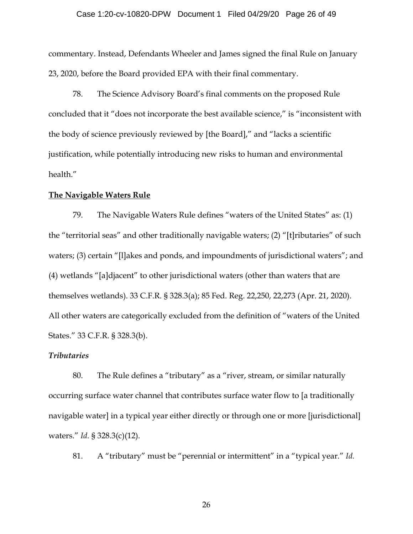## Case 1:20-cv-10820-DPW Document 1 Filed 04/29/20 Page 26 of 49

commentary. Instead, Defendants Wheeler and James signed the final Rule on January 23, 2020, before the Board provided EPA with their final commentary.

78. The Science Advisory Board's final comments on the proposed Rule concluded that it "does not incorporate the best available science," is "inconsistent with the body of science previously reviewed by [the Board]," and "lacks a scientific justification, while potentially introducing new risks to human and environmental health."

## **The Navigable Waters Rule**

79. The Navigable Waters Rule defines "waters of the United States" as: (1) the "territorial seas" and other traditionally navigable waters; (2) "[t]ributaries" of such waters; (3) certain "[l]akes and ponds, and impoundments of jurisdictional waters"; and (4) wetlands "[a]djacent" to other jurisdictional waters (other than waters that are themselves wetlands). 33 C.F.R. § 328.3(a); 85 Fed. Reg. 22,250, 22,273 (Apr. 21, 2020). All other waters are categorically excluded from the definition of "waters of the United States." 33 C.F.R. § 328.3(b).

## *Tributaries*

80. The Rule defines a "tributary" as a "river, stream, or similar naturally occurring surface water channel that contributes surface water flow to [a traditionally navigable water] in a typical year either directly or through one or more [jurisdictional] waters." *Id.* § 328.3(c)(12).

81. A "tributary" must be "perennial or intermittent" in a "typical year." *Id.*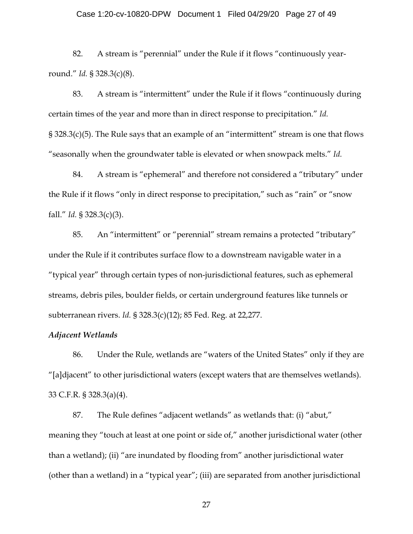## Case 1:20-cv-10820-DPW Document 1 Filed 04/29/20 Page 27 of 49

82. A stream is "perennial" under the Rule if it flows "continuously yearround." *Id.* § 328.3(c)(8).

83. A stream is "intermittent" under the Rule if it flows "continuously during certain times of the year and more than in direct response to precipitation." *Id.* § 328.3(c)(5). The Rule says that an example of an "intermittent" stream is one that flows "seasonally when the groundwater table is elevated or when snowpack melts." *Id.*

84. A stream is "ephemeral" and therefore not considered a "tributary" under the Rule if it flows "only in direct response to precipitation," such as "rain" or "snow fall." *Id.* § 328.3(c)(3).

85. An "intermittent" or "perennial" stream remains a protected "tributary" under the Rule if it contributes surface flow to a downstream navigable water in a "typical year" through certain types of non-jurisdictional features, such as ephemeral streams, debris piles, boulder fields, or certain underground features like tunnels or subterranean rivers. *Id.* § 328.3(c)(12); 85 Fed. Reg. at 22,277.

## *Adjacent Wetlands*

86. Under the Rule, wetlands are "waters of the United States" only if they are "[a]djacent" to other jurisdictional waters (except waters that are themselves wetlands). 33 C.F.R. § 328.3(a)(4).

87. The Rule defines "adjacent wetlands" as wetlands that: (i) "abut," meaning they "touch at least at one point or side of," another jurisdictional water (other than a wetland); (ii) "are inundated by flooding from" another jurisdictional water (other than a wetland) in a "typical year"; (iii) are separated from another jurisdictional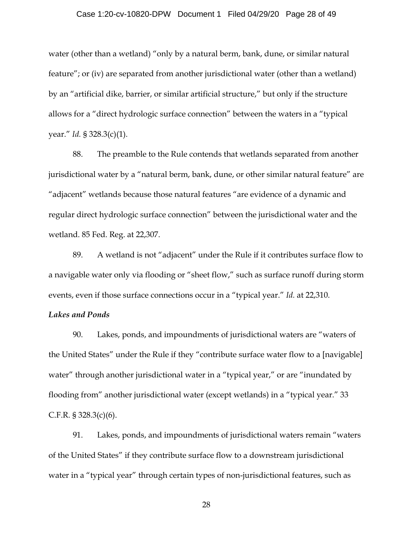## Case 1:20-cv-10820-DPW Document 1 Filed 04/29/20 Page 28 of 49

water (other than a wetland) "only by a natural berm, bank, dune, or similar natural feature"; or (iv) are separated from another jurisdictional water (other than a wetland) by an "artificial dike, barrier, or similar artificial structure," but only if the structure allows for a "direct hydrologic surface connection" between the waters in a "typical year." *Id.* § 328.3(c)(1).

88. The preamble to the Rule contends that wetlands separated from another jurisdictional water by a "natural berm, bank, dune, or other similar natural feature" are "adjacent" wetlands because those natural features "are evidence of a dynamic and regular direct hydrologic surface connection" between the jurisdictional water and the wetland. 85 Fed. Reg. at 22,307.

89. A wetland is not "adjacent" under the Rule if it contributes surface flow to a navigable water only via flooding or "sheet flow," such as surface runoff during storm events, even if those surface connections occur in a "typical year." *Id.* at 22,310.

## *Lakes and Ponds*

90. Lakes, ponds, and impoundments of jurisdictional waters are "waters of the United States" under the Rule if they "contribute surface water flow to a [navigable] water" through another jurisdictional water in a "typical year," or are "inundated by flooding from" another jurisdictional water (except wetlands) in a "typical year." 33 C.F.R. § 328.3(c)(6).

91. Lakes, ponds, and impoundments of jurisdictional waters remain "waters of the United States" if they contribute surface flow to a downstream jurisdictional water in a "typical year" through certain types of non-jurisdictional features, such as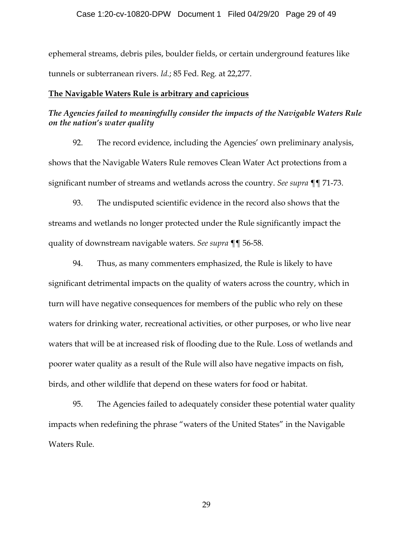ephemeral streams, debris piles, boulder fields, or certain underground features like tunnels or subterranean rivers. *Id.*; 85 Fed. Reg. at 22,277.

## **The Navigable Waters Rule is arbitrary and capricious**

## *The Agencies failed to meaningfully consider the impacts of the Navigable Waters Rule on the nation's water quality*

92. The record evidence, including the Agencies' own preliminary analysis, shows that the Navigable Waters Rule removes Clean Water Act protections from a significant number of streams and wetlands across the country. *See supra* ¶¶ 71-73.

93. The undisputed scientific evidence in the record also shows that the streams and wetlands no longer protected under the Rule significantly impact the quality of downstream navigable waters. *See supra* ¶¶ 56-58.

94. Thus, as many commenters emphasized, the Rule is likely to have significant detrimental impacts on the quality of waters across the country, which in turn will have negative consequences for members of the public who rely on these waters for drinking water, recreational activities, or other purposes, or who live near waters that will be at increased risk of flooding due to the Rule. Loss of wetlands and poorer water quality as a result of the Rule will also have negative impacts on fish, birds, and other wildlife that depend on these waters for food or habitat.

95. The Agencies failed to adequately consider these potential water quality impacts when redefining the phrase "waters of the United States" in the Navigable Waters Rule.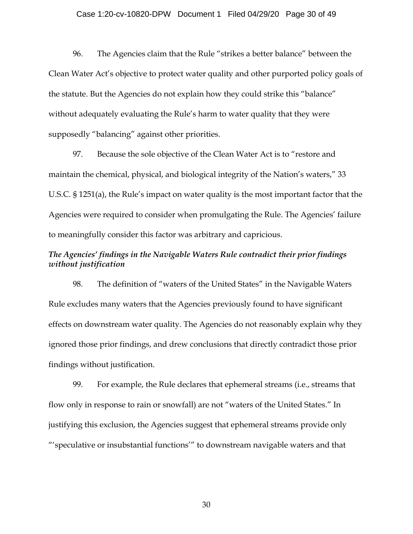## Case 1:20-cv-10820-DPW Document 1 Filed 04/29/20 Page 30 of 49

96. The Agencies claim that the Rule "strikes a better balance" between the Clean Water Act's objective to protect water quality and other purported policy goals of the statute. But the Agencies do not explain how they could strike this "balance" without adequately evaluating the Rule's harm to water quality that they were supposedly "balancing" against other priorities.

97. Because the sole objective of the Clean Water Act is to "restore and maintain the chemical, physical, and biological integrity of the Nation's waters," 33 U.S.C. § 1251(a), the Rule's impact on water quality is the most important factor that the Agencies were required to consider when promulgating the Rule. The Agencies' failure to meaningfully consider this factor was arbitrary and capricious.

## *The Agencies' findings in the Navigable Waters Rule contradict their prior findings without justification*

98. The definition of "waters of the United States" in the Navigable Waters Rule excludes many waters that the Agencies previously found to have significant effects on downstream water quality. The Agencies do not reasonably explain why they ignored those prior findings, and drew conclusions that directly contradict those prior findings without justification.

99. For example, the Rule declares that ephemeral streams (i.e., streams that flow only in response to rain or snowfall) are not "waters of the United States." In justifying this exclusion, the Agencies suggest that ephemeral streams provide only "'speculative or insubstantial functions'" to downstream navigable waters and that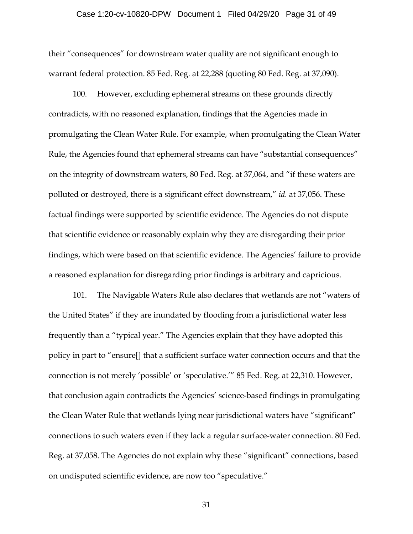## Case 1:20-cv-10820-DPW Document 1 Filed 04/29/20 Page 31 of 49

their "consequences" for downstream water quality are not significant enough to warrant federal protection. 85 Fed. Reg. at 22,288 (quoting 80 Fed. Reg. at 37,090).

100. However, excluding ephemeral streams on these grounds directly contradicts, with no reasoned explanation, findings that the Agencies made in promulgating the Clean Water Rule. For example, when promulgating the Clean Water Rule, the Agencies found that ephemeral streams can have "substantial consequences" on the integrity of downstream waters, 80 Fed. Reg. at 37,064, and "if these waters are polluted or destroyed, there is a significant effect downstream," *id.* at 37,056. These factual findings were supported by scientific evidence. The Agencies do not dispute that scientific evidence or reasonably explain why they are disregarding their prior findings, which were based on that scientific evidence. The Agencies' failure to provide a reasoned explanation for disregarding prior findings is arbitrary and capricious.

101. The Navigable Waters Rule also declares that wetlands are not "waters of the United States" if they are inundated by flooding from a jurisdictional water less frequently than a "typical year." The Agencies explain that they have adopted this policy in part to "ensure[] that a sufficient surface water connection occurs and that the connection is not merely 'possible' or 'speculative.'" 85 Fed. Reg. at 22,310. However, that conclusion again contradicts the Agencies' science-based findings in promulgating the Clean Water Rule that wetlands lying near jurisdictional waters have "significant" connections to such waters even if they lack a regular surface-water connection. 80 Fed. Reg. at 37,058. The Agencies do not explain why these "significant" connections, based on undisputed scientific evidence, are now too "speculative."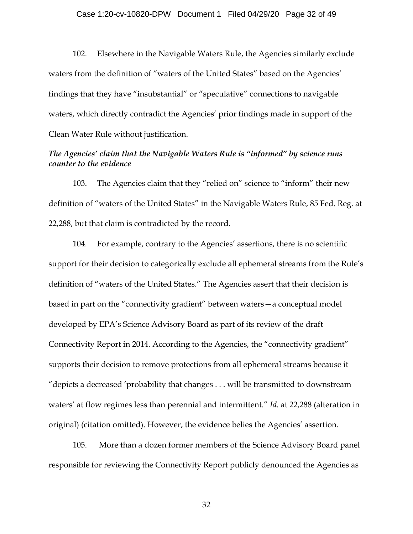## Case 1:20-cv-10820-DPW Document 1 Filed 04/29/20 Page 32 of 49

102. Elsewhere in the Navigable Waters Rule, the Agencies similarly exclude waters from the definition of "waters of the United States" based on the Agencies' findings that they have "insubstantial" or "speculative" connections to navigable waters, which directly contradict the Agencies' prior findings made in support of the Clean Water Rule without justification.

## *The Agencies' claim that the Navigable Waters Rule is "informed" by science runs counter to the evidence*

103. The Agencies claim that they "relied on" science to "inform" their new definition of "waters of the United States" in the Navigable Waters Rule, 85 Fed. Reg. at 22,288, but that claim is contradicted by the record.

104. For example, contrary to the Agencies' assertions, there is no scientific support for their decision to categorically exclude all ephemeral streams from the Rule's definition of "waters of the United States." The Agencies assert that their decision is based in part on the "connectivity gradient" between waters—a conceptual model developed by EPA's Science Advisory Board as part of its review of the draft Connectivity Report in 2014. According to the Agencies, the "connectivity gradient" supports their decision to remove protections from all ephemeral streams because it "depicts a decreased 'probability that changes . . . will be transmitted to downstream waters' at flow regimes less than perennial and intermittent." *Id.* at 22,288 (alteration in original) (citation omitted). However, the evidence belies the Agencies' assertion.

105. More than a dozen former members of the Science Advisory Board panel responsible for reviewing the Connectivity Report publicly denounced the Agencies as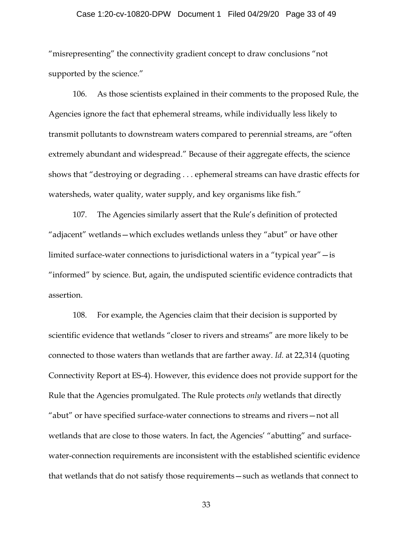## Case 1:20-cv-10820-DPW Document 1 Filed 04/29/20 Page 33 of 49

"misrepresenting" the connectivity gradient concept to draw conclusions "not supported by the science."

106. As those scientists explained in their comments to the proposed Rule, the Agencies ignore the fact that ephemeral streams, while individually less likely to transmit pollutants to downstream waters compared to perennial streams, are "often extremely abundant and widespread." Because of their aggregate effects, the science shows that "destroying or degrading . . . ephemeral streams can have drastic effects for watersheds, water quality, water supply, and key organisms like fish."

107. The Agencies similarly assert that the Rule's definition of protected "adjacent" wetlands—which excludes wetlands unless they "abut" or have other limited surface-water connections to jurisdictional waters in a "typical year"—is "informed" by science. But, again, the undisputed scientific evidence contradicts that assertion.

108. For example, the Agencies claim that their decision is supported by scientific evidence that wetlands "closer to rivers and streams" are more likely to be connected to those waters than wetlands that are farther away. *Id.* at 22,314 (quoting Connectivity Report at ES-4). However, this evidence does not provide support for the Rule that the Agencies promulgated. The Rule protects *only* wetlands that directly "abut" or have specified surface-water connections to streams and rivers—not all wetlands that are close to those waters. In fact, the Agencies' "abutting" and surfacewater-connection requirements are inconsistent with the established scientific evidence that wetlands that do not satisfy those requirements—such as wetlands that connect to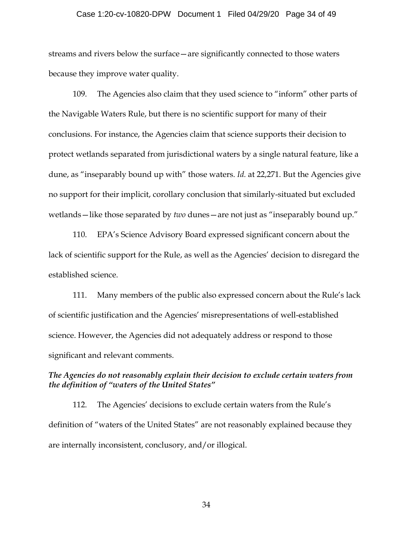## Case 1:20-cv-10820-DPW Document 1 Filed 04/29/20 Page 34 of 49

streams and rivers below the surface—are significantly connected to those waters because they improve water quality.

109. The Agencies also claim that they used science to "inform" other parts of the Navigable Waters Rule, but there is no scientific support for many of their conclusions. For instance, the Agencies claim that science supports their decision to protect wetlands separated from jurisdictional waters by a single natural feature, like a dune, as "inseparably bound up with" those waters. *Id.* at 22,271. But the Agencies give no support for their implicit, corollary conclusion that similarly-situated but excluded wetlands—like those separated by *two* dunes—are not just as "inseparably bound up."

110. EPA's Science Advisory Board expressed significant concern about the lack of scientific support for the Rule, as well as the Agencies' decision to disregard the established science.

111. Many members of the public also expressed concern about the Rule's lack of scientific justification and the Agencies' misrepresentations of well-established science. However, the Agencies did not adequately address or respond to those significant and relevant comments.

## *The Agencies do not reasonably explain their decision to exclude certain waters from the definition of "waters of the United States"*

112. The Agencies' decisions to exclude certain waters from the Rule's definition of "waters of the United States" are not reasonably explained because they are internally inconsistent, conclusory, and/or illogical.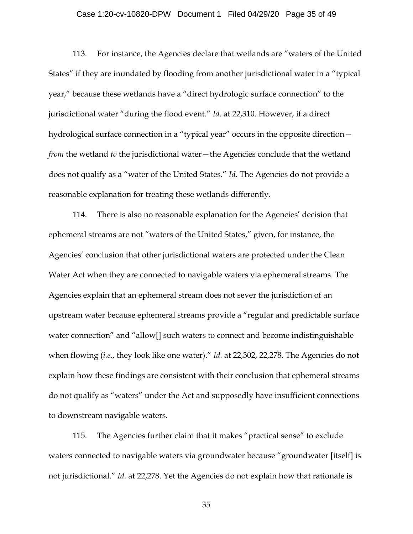## Case 1:20-cv-10820-DPW Document 1 Filed 04/29/20 Page 35 of 49

113. For instance, the Agencies declare that wetlands are "waters of the United States" if they are inundated by flooding from another jurisdictional water in a "typical year," because these wetlands have a "direct hydrologic surface connection" to the jurisdictional water "during the flood event." *Id.* at 22,310. However, if a direct hydrological surface connection in a "typical year" occurs in the opposite direction *from* the wetland *to* the jurisdictional water—the Agencies conclude that the wetland does not qualify as a "water of the United States." *Id.* The Agencies do not provide a reasonable explanation for treating these wetlands differently.

114. There is also no reasonable explanation for the Agencies' decision that ephemeral streams are not "waters of the United States," given, for instance, the Agencies' conclusion that other jurisdictional waters are protected under the Clean Water Act when they are connected to navigable waters via ephemeral streams. The Agencies explain that an ephemeral stream does not sever the jurisdiction of an upstream water because ephemeral streams provide a "regular and predictable surface water connection" and "allow[] such waters to connect and become indistinguishable when flowing (*i.e.*, they look like one water)." *Id.* at 22,302, 22,278. The Agencies do not explain how these findings are consistent with their conclusion that ephemeral streams do not qualify as "waters" under the Act and supposedly have insufficient connections to downstream navigable waters.

115. The Agencies further claim that it makes "practical sense" to exclude waters connected to navigable waters via groundwater because "groundwater [itself] is not jurisdictional." *Id.* at 22,278. Yet the Agencies do not explain how that rationale is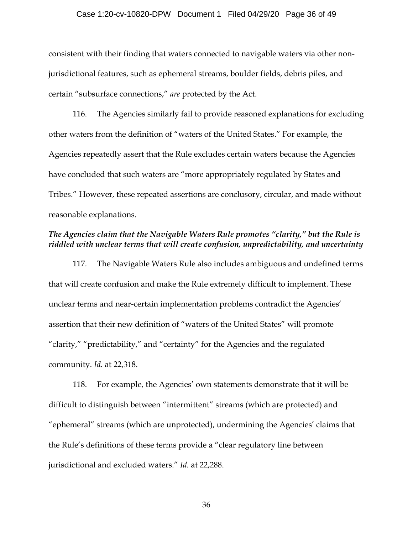## Case 1:20-cv-10820-DPW Document 1 Filed 04/29/20 Page 36 of 49

consistent with their finding that waters connected to navigable waters via other nonjurisdictional features, such as ephemeral streams, boulder fields, debris piles, and certain "subsurface connections," *are* protected by the Act.

116. The Agencies similarly fail to provide reasoned explanations for excluding other waters from the definition of "waters of the United States." For example, the Agencies repeatedly assert that the Rule excludes certain waters because the Agencies have concluded that such waters are "more appropriately regulated by States and Tribes." However, these repeated assertions are conclusory, circular, and made without reasonable explanations.

## *The Agencies claim that the Navigable Waters Rule promotes "clarity," but the Rule is riddled with unclear terms that will create confusion, unpredictability, and uncertainty*

117. The Navigable Waters Rule also includes ambiguous and undefined terms that will create confusion and make the Rule extremely difficult to implement. These unclear terms and near-certain implementation problems contradict the Agencies' assertion that their new definition of "waters of the United States" will promote "clarity," "predictability," and "certainty" for the Agencies and the regulated community. *Id.* at 22,318.

118. For example, the Agencies' own statements demonstrate that it will be difficult to distinguish between "intermittent" streams (which are protected) and "ephemeral" streams (which are unprotected), undermining the Agencies' claims that the Rule's definitions of these terms provide a "clear regulatory line between jurisdictional and excluded waters." *Id.* at 22,288.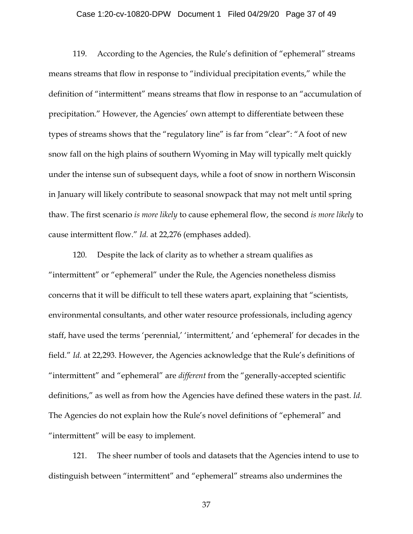## Case 1:20-cv-10820-DPW Document 1 Filed 04/29/20 Page 37 of 49

119. According to the Agencies, the Rule's definition of "ephemeral" streams means streams that flow in response to "individual precipitation events," while the definition of "intermittent" means streams that flow in response to an "accumulation of precipitation." However, the Agencies' own attempt to differentiate between these types of streams shows that the "regulatory line" is far from "clear": "A foot of new snow fall on the high plains of southern Wyoming in May will typically melt quickly under the intense sun of subsequent days, while a foot of snow in northern Wisconsin in January will likely contribute to seasonal snowpack that may not melt until spring thaw. The first scenario *is more likely* to cause ephemeral flow, the second *is more likely* to cause intermittent flow." *Id.* at 22,276 (emphases added).

120. Despite the lack of clarity as to whether a stream qualifies as "intermittent" or "ephemeral" under the Rule, the Agencies nonetheless dismiss concerns that it will be difficult to tell these waters apart, explaining that "scientists, environmental consultants, and other water resource professionals, including agency staff, have used the terms 'perennial,' 'intermittent,' and 'ephemeral' for decades in the field." *Id.* at 22,293. However, the Agencies acknowledge that the Rule's definitions of "intermittent" and "ephemeral" are *different* from the "generally-accepted scientific definitions," as well as from how the Agencies have defined these waters in the past. *Id.* The Agencies do not explain how the Rule's novel definitions of "ephemeral" and "intermittent" will be easy to implement.

121. The sheer number of tools and datasets that the Agencies intend to use to distinguish between "intermittent" and "ephemeral" streams also undermines the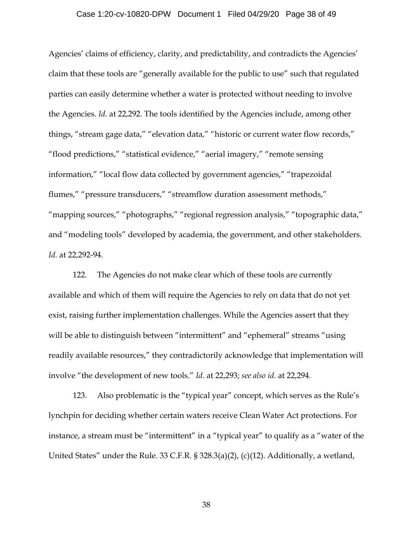## Case 1:20-cv-10820-DPW Document 1 Filed 04/29/20 Page 38 of 49

Agencies' claims of efficiency, clarity, and predictability, and contradicts the Agencies' claim that these tools are "generally available for the public to use" such that regulated parties can easily determine whether a water is protected without needing to involve the Agencies. *Id.* at 22,292. The tools identified by the Agencies include, among other things, "stream gage data," "elevation data," "historic or current water flow records," "flood predictions," "statistical evidence," "aerial imagery," "remote sensing information," "local flow data collected by government agencies," "trapezoidal flumes," "pressure transducers," "streamflow duration assessment methods," "mapping sources," "photographs," "regional regression analysis," "topographic data," and "modeling tools" developed by academia, the government, and other stakeholders. *Id.* at 22,292-94.

122. The Agencies do not make clear which of these tools are currently available and which of them will require the Agencies to rely on data that do not yet exist, raising further implementation challenges. While the Agencies assert that they will be able to distinguish between "intermittent" and "ephemeral" streams "using readily available resources," they contradictorily acknowledge that implementation will involve "the development of new tools." *Id.* at 22,293; *see also id.* at 22,294.

123. Also problematic is the "typical year" concept, which serves as the Rule's lynchpin for deciding whether certain waters receive Clean Water Act protections. For instance, a stream must be "intermittent" in a "typical year" to qualify as a "water of the United States" under the Rule. 33 C.F.R. § 328.3(a)(2), (c)(12). Additionally, a wetland,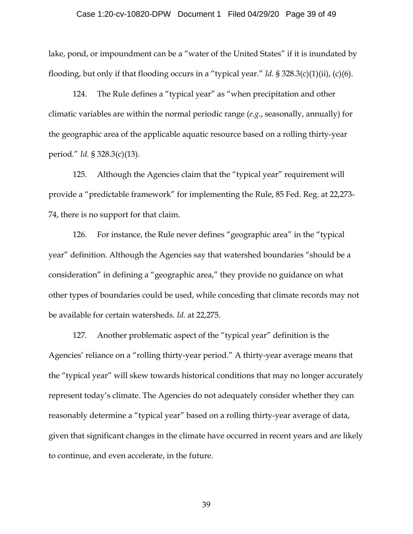## Case 1:20-cv-10820-DPW Document 1 Filed 04/29/20 Page 39 of 49

lake, pond, or impoundment can be a "water of the United States" if it is inundated by flooding, but only if that flooding occurs in a "typical year." *Id.* § 328.3(c)(1)(ii), (c)(6).

124. The Rule defines a "typical year" as "when precipitation and other climatic variables are within the normal periodic range (*e.g.*, seasonally, annually) for the geographic area of the applicable aquatic resource based on a rolling thirty-year period." *Id.* § 328.3(c)(13).

125. Although the Agencies claim that the "typical year" requirement will provide a "predictable framework" for implementing the Rule, 85 Fed. Reg. at 22,273- 74, there is no support for that claim.

126. For instance, the Rule never defines "geographic area" in the "typical year" definition. Although the Agencies say that watershed boundaries "should be a consideration" in defining a "geographic area," they provide no guidance on what other types of boundaries could be used, while conceding that climate records may not be available for certain watersheds. *Id.* at 22,275.

127. Another problematic aspect of the "typical year" definition is the Agencies' reliance on a "rolling thirty-year period." A thirty-year average means that the "typical year" will skew towards historical conditions that may no longer accurately represent today's climate. The Agencies do not adequately consider whether they can reasonably determine a "typical year" based on a rolling thirty-year average of data, given that significant changes in the climate have occurred in recent years and are likely to continue, and even accelerate, in the future.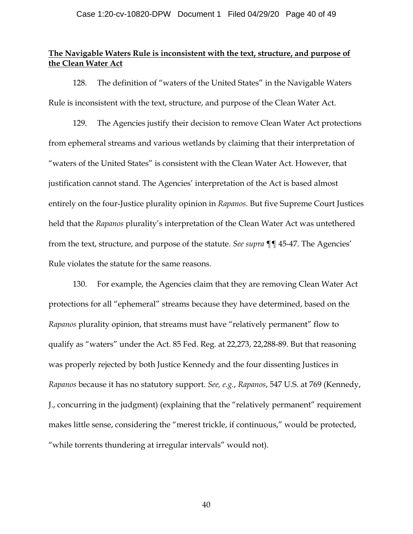## **The Navigable Waters Rule is inconsistent with the text, structure, and purpose of the Clean Water Act**

128. The definition of "waters of the United States" in the Navigable Waters Rule is inconsistent with the text, structure, and purpose of the Clean Water Act.

129. The Agencies justify their decision to remove Clean Water Act protections from ephemeral streams and various wetlands by claiming that their interpretation of "waters of the United States" is consistent with the Clean Water Act. However, that justification cannot stand. The Agencies' interpretation of the Act is based almost entirely on the four-Justice plurality opinion in *Rapanos*. But five Supreme Court Justices held that the *Rapanos* plurality's interpretation of the Clean Water Act was untethered from the text, structure, and purpose of the statute. *See supra* ¶¶ 45-47. The Agencies' Rule violates the statute for the same reasons.

130. For example, the Agencies claim that they are removing Clean Water Act protections for all "ephemeral" streams because they have determined, based on the *Rapanos* plurality opinion, that streams must have "relatively permanent" flow to qualify as "waters" under the Act. 85 Fed. Reg. at 22,273, 22,288-89. But that reasoning was properly rejected by both Justice Kennedy and the four dissenting Justices in *Rapanos* because it has no statutory support. *See, e.g.*, *Rapanos*, 547 U.S. at 769 (Kennedy, J., concurring in the judgment) (explaining that the "relatively permanent" requirement makes little sense, considering the "merest trickle, if continuous," would be protected, "while torrents thundering at irregular intervals" would not).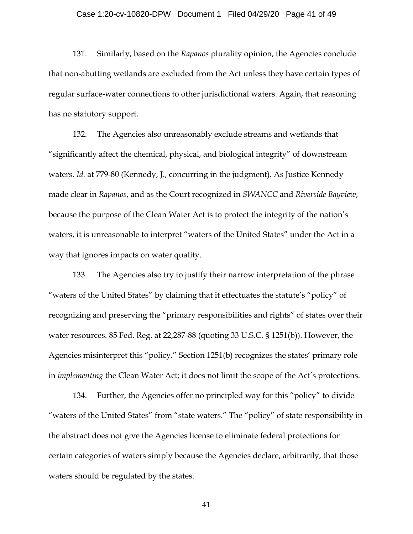## Case 1:20-cv-10820-DPW Document 1 Filed 04/29/20 Page 41 of 49

131. Similarly, based on the *Rapanos* plurality opinion, the Agencies conclude that non-abutting wetlands are excluded from the Act unless they have certain types of regular surface-water connections to other jurisdictional waters. Again, that reasoning has no statutory support.

132. The Agencies also unreasonably exclude streams and wetlands that "significantly affect the chemical, physical, and biological integrity" of downstream waters. *Id.* at 779-80 (Kennedy, J., concurring in the judgment). As Justice Kennedy made clear in *Rapanos*, and as the Court recognized in *SWANCC* and *Riverside Bayview*, because the purpose of the Clean Water Act is to protect the integrity of the nation's waters, it is unreasonable to interpret "waters of the United States" under the Act in a way that ignores impacts on water quality.

133. The Agencies also try to justify their narrow interpretation of the phrase "waters of the United States" by claiming that it effectuates the statute's "policy" of recognizing and preserving the "primary responsibilities and rights" of states over their water resources. 85 Fed. Reg. at 22,287-88 (quoting 33 U.S.C. § 1251(b)). However, the Agencies misinterpret this "policy." Section 1251(b) recognizes the states' primary role in *implementing* the Clean Water Act; it does not limit the scope of the Act's protections.

134. Further, the Agencies offer no principled way for this "policy" to divide "waters of the United States" from "state waters." The "policy" of state responsibility in the abstract does not give the Agencies license to eliminate federal protections for certain categories of waters simply because the Agencies declare, arbitrarily, that those waters should be regulated by the states.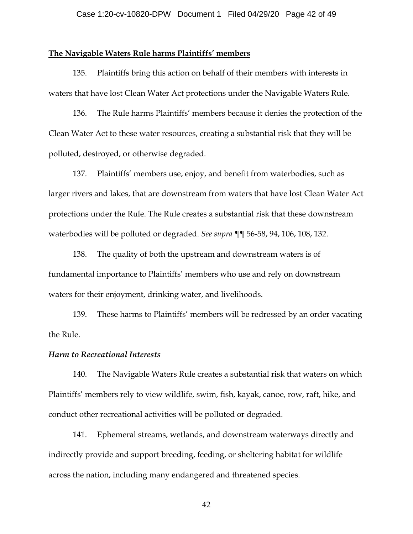## Case 1:20-cv-10820-DPW Document 1 Filed 04/29/20 Page 42 of 49

## **The Navigable Waters Rule harms Plaintiffs' members**

135. Plaintiffs bring this action on behalf of their members with interests in waters that have lost Clean Water Act protections under the Navigable Waters Rule.

136. The Rule harms Plaintiffs' members because it denies the protection of the Clean Water Act to these water resources, creating a substantial risk that they will be polluted, destroyed, or otherwise degraded.

137. Plaintiffs' members use, enjoy, and benefit from waterbodies, such as larger rivers and lakes, that are downstream from waters that have lost Clean Water Act protections under the Rule. The Rule creates a substantial risk that these downstream waterbodies will be polluted or degraded. *See supra* ¶¶ 56-58, 94, 106, 108, 132.

138. The quality of both the upstream and downstream waters is of fundamental importance to Plaintiffs' members who use and rely on downstream waters for their enjoyment, drinking water, and livelihoods.

139. These harms to Plaintiffs' members will be redressed by an order vacating the Rule.

## *Harm to Recreational Interests*

140. The Navigable Waters Rule creates a substantial risk that waters on which Plaintiffs' members rely to view wildlife, swim, fish, kayak, canoe, row, raft, hike, and conduct other recreational activities will be polluted or degraded.

141. Ephemeral streams, wetlands, and downstream waterways directly and indirectly provide and support breeding, feeding, or sheltering habitat for wildlife across the nation, including many endangered and threatened species.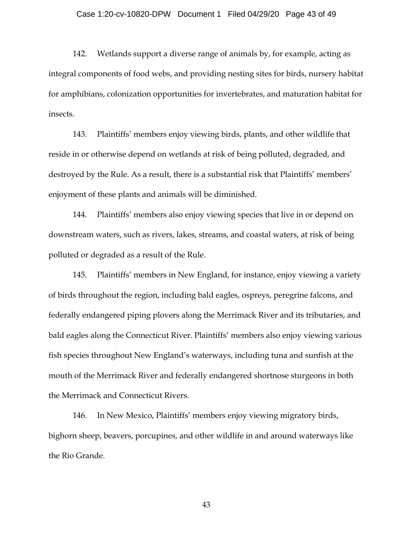## Case 1:20-cv-10820-DPW Document 1 Filed 04/29/20 Page 43 of 49

142. Wetlands support a diverse range of animals by, for example, acting as integral components of food webs, and providing nesting sites for birds, nursery habitat for amphibians, colonization opportunities for invertebrates, and maturation habitat for insects.

143. Plaintiffs' members enjoy viewing birds, plants, and other wildlife that reside in or otherwise depend on wetlands at risk of being polluted, degraded, and destroyed by the Rule. As a result, there is a substantial risk that Plaintiffs' members' enjoyment of these plants and animals will be diminished.

144. Plaintiffs' members also enjoy viewing species that live in or depend on downstream waters, such as rivers, lakes, streams, and coastal waters, at risk of being polluted or degraded as a result of the Rule.

145. Plaintiffs' members in New England, for instance, enjoy viewing a variety of birds throughout the region, including bald eagles, ospreys, peregrine falcons, and federally endangered piping plovers along the Merrimack River and its tributaries, and bald eagles along the Connecticut River. Plaintiffs' members also enjoy viewing various fish species throughout New England's waterways, including tuna and sunfish at the mouth of the Merrimack River and federally endangered shortnose sturgeons in both the Merrimack and Connecticut Rivers.

146. In New Mexico, Plaintiffs' members enjoy viewing migratory birds, bighorn sheep, beavers, porcupines, and other wildlife in and around waterways like the Rio Grande.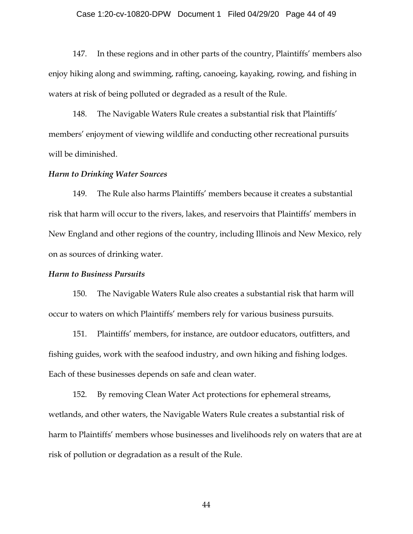## Case 1:20-cv-10820-DPW Document 1 Filed 04/29/20 Page 44 of 49

147. In these regions and in other parts of the country, Plaintiffs' members also enjoy hiking along and swimming, rafting, canoeing, kayaking, rowing, and fishing in waters at risk of being polluted or degraded as a result of the Rule.

148. The Navigable Waters Rule creates a substantial risk that Plaintiffs' members' enjoyment of viewing wildlife and conducting other recreational pursuits will be diminished.

## *Harm to Drinking Water Sources*

149. The Rule also harms Plaintiffs' members because it creates a substantial risk that harm will occur to the rivers, lakes, and reservoirs that Plaintiffs' members in New England and other regions of the country, including Illinois and New Mexico, rely on as sources of drinking water.

#### *Harm to Business Pursuits*

150. The Navigable Waters Rule also creates a substantial risk that harm will occur to waters on which Plaintiffs' members rely for various business pursuits.

151. Plaintiffs' members, for instance, are outdoor educators, outfitters, and fishing guides, work with the seafood industry, and own hiking and fishing lodges. Each of these businesses depends on safe and clean water.

152. By removing Clean Water Act protections for ephemeral streams, wetlands, and other waters, the Navigable Waters Rule creates a substantial risk of harm to Plaintiffs' members whose businesses and livelihoods rely on waters that are at risk of pollution or degradation as a result of the Rule.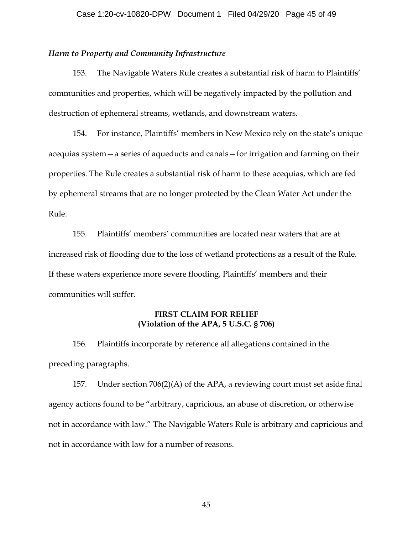## *Harm to Property and Community Infrastructure*

153. The Navigable Waters Rule creates a substantial risk of harm to Plaintiffs' communities and properties, which will be negatively impacted by the pollution and destruction of ephemeral streams, wetlands, and downstream waters.

154. For instance, Plaintiffs' members in New Mexico rely on the state's unique acequias system—a series of aqueducts and canals—for irrigation and farming on their properties. The Rule creates a substantial risk of harm to these acequias, which are fed by ephemeral streams that are no longer protected by the Clean Water Act under the Rule.

155. Plaintiffs' members' communities are located near waters that are at increased risk of flooding due to the loss of wetland protections as a result of the Rule. If these waters experience more severe flooding, Plaintiffs' members and their communities will suffer.

## **FIRST CLAIM FOR RELIEF (Violation of the APA, 5 U.S.C. § 706)**

156. Plaintiffs incorporate by reference all allegations contained in the preceding paragraphs.

157. Under section 706(2)(A) of the APA, a reviewing court must set aside final agency actions found to be "arbitrary, capricious, an abuse of discretion, or otherwise not in accordance with law." The Navigable Waters Rule is arbitrary and capricious and not in accordance with law for a number of reasons.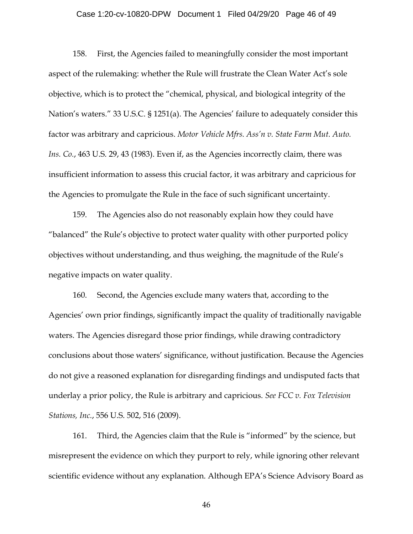## Case 1:20-cv-10820-DPW Document 1 Filed 04/29/20 Page 46 of 49

158. First, the Agencies failed to meaningfully consider the most important aspect of the rulemaking: whether the Rule will frustrate the Clean Water Act's sole objective, which is to protect the "chemical, physical, and biological integrity of the Nation's waters." 33 U.S.C. § 1251(a). The Agencies' failure to adequately consider this factor was arbitrary and capricious. *Motor Vehicle Mfrs. Ass'n v. State Farm Mut. Auto. Ins. Co.*, 463 U.S. 29, 43 (1983). Even if, as the Agencies incorrectly claim, there was insufficient information to assess this crucial factor, it was arbitrary and capricious for the Agencies to promulgate the Rule in the face of such significant uncertainty.

159. The Agencies also do not reasonably explain how they could have "balanced" the Rule's objective to protect water quality with other purported policy objectives without understanding, and thus weighing, the magnitude of the Rule's negative impacts on water quality.

160. Second, the Agencies exclude many waters that, according to the Agencies' own prior findings, significantly impact the quality of traditionally navigable waters. The Agencies disregard those prior findings, while drawing contradictory conclusions about those waters' significance, without justification. Because the Agencies do not give a reasoned explanation for disregarding findings and undisputed facts that underlay a prior policy, the Rule is arbitrary and capricious. *See FCC v. Fox Television Stations, Inc.*, 556 U.S. 502, 516 (2009).

161. Third, the Agencies claim that the Rule is "informed" by the science, but misrepresent the evidence on which they purport to rely, while ignoring other relevant scientific evidence without any explanation. Although EPA's Science Advisory Board as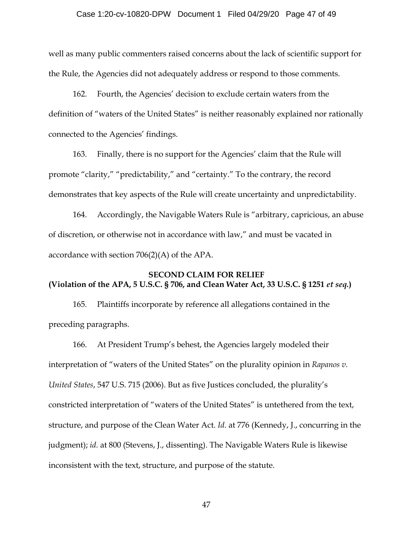## Case 1:20-cv-10820-DPW Document 1 Filed 04/29/20 Page 47 of 49

well as many public commenters raised concerns about the lack of scientific support for the Rule, the Agencies did not adequately address or respond to those comments.

162. Fourth, the Agencies' decision to exclude certain waters from the definition of "waters of the United States" is neither reasonably explained nor rationally connected to the Agencies' findings.

163. Finally, there is no support for the Agencies' claim that the Rule will promote "clarity," "predictability," and "certainty." To the contrary, the record demonstrates that key aspects of the Rule will create uncertainty and unpredictability.

164. Accordingly, the Navigable Waters Rule is "arbitrary, capricious, an abuse of discretion, or otherwise not in accordance with law," and must be vacated in accordance with section 706(2)(A) of the APA.

## **SECOND CLAIM FOR RELIEF (Violation of the APA, 5 U.S.C. § 706, and Clean Water Act, 33 U.S.C. § 1251** *et seq.***)**

165. Plaintiffs incorporate by reference all allegations contained in the preceding paragraphs.

166. At President Trump's behest, the Agencies largely modeled their interpretation of "waters of the United States" on the plurality opinion in *Rapanos v. United States*, 547 U.S. 715 (2006). But as five Justices concluded, the plurality's constricted interpretation of "waters of the United States" is untethered from the text, structure, and purpose of the Clean Water Act. *Id.* at 776 (Kennedy, J., concurring in the judgment); *id.* at 800 (Stevens, J., dissenting). The Navigable Waters Rule is likewise inconsistent with the text, structure, and purpose of the statute.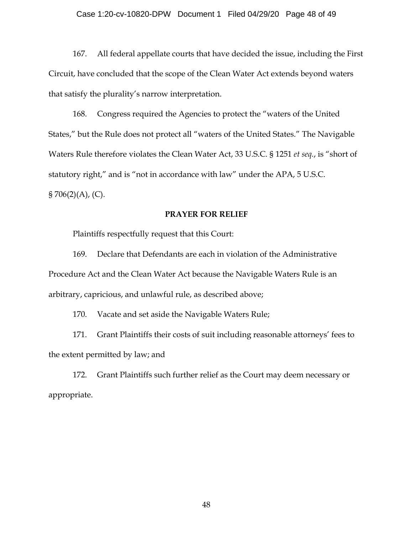## Case 1:20-cv-10820-DPW Document 1 Filed 04/29/20 Page 48 of 49

167. All federal appellate courts that have decided the issue, including the First Circuit, have concluded that the scope of the Clean Water Act extends beyond waters that satisfy the plurality's narrow interpretation.

168. Congress required the Agencies to protect the "waters of the United States," but the Rule does not protect all "waters of the United States." The Navigable Waters Rule therefore violates the Clean Water Act, 33 U.S.C. § 1251 *et seq.*, is "short of statutory right," and is "not in accordance with law" under the APA, 5 U.S.C.  $\S 706(2)(A)$ , (C).

## **PRAYER FOR RELIEF**

Plaintiffs respectfully request that this Court:

169. Declare that Defendants are each in violation of the Administrative Procedure Act and the Clean Water Act because the Navigable Waters Rule is an arbitrary, capricious, and unlawful rule, as described above;

170. Vacate and set aside the Navigable Waters Rule;

171. Grant Plaintiffs their costs of suit including reasonable attorneys' fees to the extent permitted by law; and

172. Grant Plaintiffs such further relief as the Court may deem necessary or appropriate.